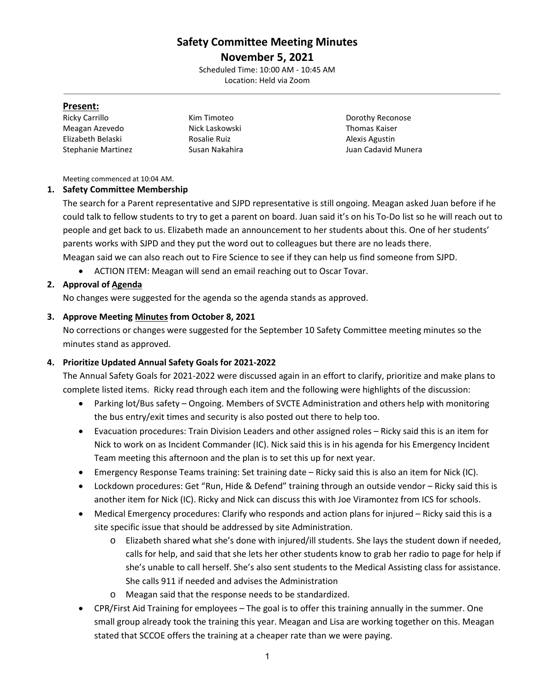# **Safety Committee Meeting Minutes**

**November 5, 2021** Scheduled Time: 10:00 AM - 10:45 AM Location: Held via Zoom

#### **Present:**

| Ricky Carrillo            |
|---------------------------|
| Meagan Azevedo            |
| Elizabeth Belaski         |
| <b>Stephanie Martinez</b> |

Nick Laskowski **Nick Laskowski** Thomas Kaiser Rosalie Ruiz **Alexis Agustin Belaskin** Rosalie Ruiz Alexis Agustin

Kim Timoteo **National Carrillo Carrillo Carrillo Carrillo Carrillo Carrillo Carrillo Carrillo Carrillo Carrillo C** Susan Nakahira **Martinez Susan Nakahira** Juan Cadavid Munera

Meeting commenced at 10:04 AM.

# **1. Safety Committee Membership**

The search for a Parent representative and SJPD representative is still ongoing. Meagan asked Juan before if he could talk to fellow students to try to get a parent on board. Juan said it's on his To-Do list so he will reach out to people and get back to us. Elizabeth made an announcement to her students about this. One of her students' parents works with SJPD and they put the word out to colleagues but there are no leads there. Meagan said we can also reach out to Fire Science to see if they can help us find someone from SJPD.

• ACTION ITEM: Meagan will send an email reaching out to Oscar Tovar.

# **2. Approval of [Agenda](https://drive.google.com/file/d/1d0-KPoMIeloHNUwNv1Ti4zGMIwljCAjj/view?usp=sharing)**

No changes were suggested for the agenda so the agenda stands as approved.

# **3. Approve Meeting [Minutes](https://drive.google.com/file/d/10i9AMfF6e_ntfxlwicigXQeqqYqVwrME/view?usp=sharing) from October 8, 2021**

No corrections or changes were suggested for the September 10 Safety Committee meeting minutes so the minutes stand as approved.

#### **4. Prioritize Updated Annual Safety Goals for 2021-2022**

The Annual Safety Goals for 2021-2022 were discussed again in an effort to clarify, prioritize and make plans to complete listed items. Ricky read through each item and the following were highlights of the discussion:

- Parking lot/Bus safety Ongoing. Members of SVCTE Administration and others help with monitoring the bus entry/exit times and security is also posted out there to help too.
- Evacuation procedures: Train Division Leaders and other assigned roles Ricky said this is an item for Nick to work on as Incident Commander (IC). Nick said this is in his agenda for his Emergency Incident Team meeting this afternoon and the plan is to set this up for next year.
- Emergency Response Teams training: Set training date Ricky said this is also an item for Nick (IC).
- Lockdown procedures: Get "Run, Hide & Defend" training through an outside vendor Ricky said this is another item for Nick (IC). Ricky and Nick can discuss this with Joe Viramontez from ICS for schools.
- Medical Emergency procedures: Clarify who responds and action plans for injured Ricky said this is a site specific issue that should be addressed by site Administration.
	- o Elizabeth shared what she's done with injured/ill students. She lays the student down if needed, calls for help, and said that she lets her other students know to grab her radio to page for help if she's unable to call herself. She's also sent students to the Medical Assisting class for assistance. She calls 911 if needed and advises the Administration
	- o Meagan said that the response needs to be standardized.
- CPR/First Aid Training for employees The goal is to offer this training annually in the summer. One small group already took the training this year. Meagan and Lisa are working together on this. Meagan stated that SCCOE offers the training at a cheaper rate than we were paying.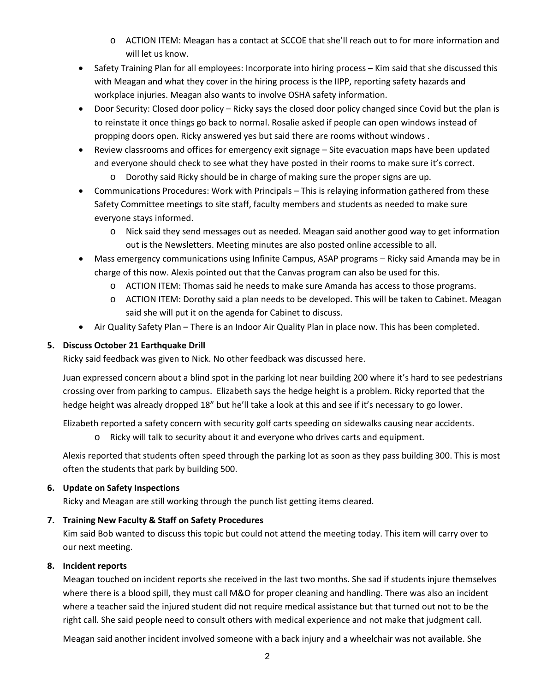- o ACTION ITEM: Meagan has a contact at SCCOE that she'll reach out to for more information and will let us know.
- Safety Training Plan for all employees: Incorporate into hiring process Kim said that she discussed this with Meagan and what they cover in the hiring process is the IIPP, reporting safety hazards and workplace injuries. Meagan also wants to involve OSHA safety information.
- Door Security: Closed door policy Ricky says the closed door policy changed since Covid but the plan is to reinstate it once things go back to normal. Rosalie asked if people can open windows instead of propping doors open. Ricky answered yes but said there are rooms without windows .
- Review classrooms and offices for emergency exit signage Site evacuation maps have been updated and everyone should check to see what they have posted in their rooms to make sure it's correct.
	- o Dorothy said Ricky should be in charge of making sure the proper signs are up.
- Communications Procedures: Work with Principals This is relaying information gathered from these Safety Committee meetings to site staff, faculty members and students as needed to make sure everyone stays informed.
	- o Nick said they send messages out as needed. Meagan said another good way to get information out is the Newsletters. Meeting minutes are also posted online accessible to all.
- Mass emergency communications using Infinite Campus, ASAP programs Ricky said Amanda may be in charge of this now. Alexis pointed out that the Canvas program can also be used for this.
	- o ACTION ITEM: Thomas said he needs to make sure Amanda has access to those programs.
	- o ACTION ITEM: Dorothy said a plan needs to be developed. This will be taken to Cabinet. Meagan said she will put it on the agenda for Cabinet to discuss.
- Air Quality Safety Plan There is an Indoor Air Quality Plan in place now. This has been completed.

#### **5. Discuss October 21 Earthquake Drill**

Ricky said feedback was given to Nick. No other feedback was discussed here.

Juan expressed concern about a blind spot in the parking lot near building 200 where it's hard to see pedestrians crossing over from parking to campus. Elizabeth says the hedge height is a problem. Ricky reported that the hedge height was already dropped 18" but he'll take a look at this and see if it's necessary to go lower.

Elizabeth reported a safety concern with security golf carts speeding on sidewalks causing near accidents.

o Ricky will talk to security about it and everyone who drives carts and equipment.

Alexis reported that students often speed through the parking lot as soon as they pass building 300. This is most often the students that park by building 500.

#### **6. Update on Safety Inspections**

Ricky and Meagan are still working through the punch list getting items cleared.

#### **7. Training New Faculty & Staff on Safety Procedures**

Kim said Bob wanted to discuss this topic but could not attend the meeting today. This item will carry over to our next meeting.

#### **8. Incident reports**

Meagan touched on incident reports she received in the last two months. She sad if students injure themselves where there is a blood spill, they must call M&O for proper cleaning and handling. There was also an incident where a teacher said the injured student did not require medical assistance but that turned out not to be the right call. She said people need to consult others with medical experience and not make that judgment call.

Meagan said another incident involved someone with a back injury and a wheelchair was not available. She